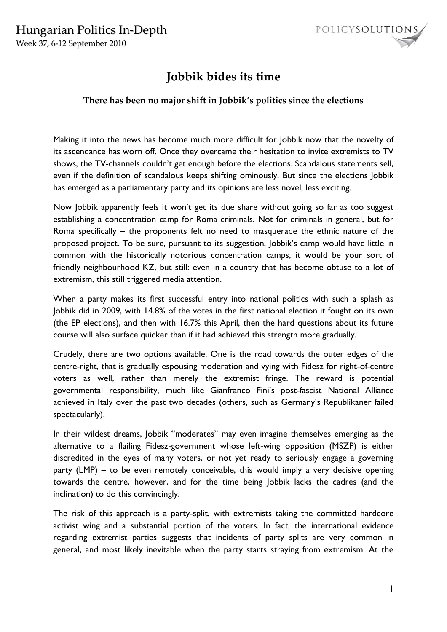Week 37, 6-12 September 2010



## **Jobbik bides its time**

## **There has been no major shift in Jobbik's politics since the elections**

Making it into the news has become much more difficult for Jobbik now that the novelty of its ascendance has worn off. Once they overcame their hesitation to invite extremists to TV shows, the TV-channels couldn't get enough before the elections. Scandalous statements sell, even if the definition of scandalous keeps shifting ominously. But since the elections Jobbik has emerged as a parliamentary party and its opinions are less novel, less exciting.

Now Jobbik apparently feels it won't get its due share without going so far as too suggest establishing a concentration camp for Roma criminals. Not for criminals in general, but for Roma specifically – the proponents felt no need to masquerade the ethnic nature of the proposed project. To be sure, pursuant to its suggestion, Jobbik's camp would have little in common with the historically notorious concentration camps, it would be your sort of friendly neighbourhood KZ, but still: even in a country that has become obtuse to a lot of extremism, this still triggered media attention.

When a party makes its first successful entry into national politics with such a splash as Jobbik did in 2009, with 14.8% of the votes in the first national election it fought on its own (the EP elections), and then with 16.7% this April, then the hard questions about its future course will also surface quicker than if it had achieved this strength more gradually.

Crudely, there are two options available. One is the road towards the outer edges of the centre-right, that is gradually espousing moderation and vying with Fidesz for right-of-centre voters as well, rather than merely the extremist fringe. The reward is potential governmental responsibility, much like Gianfranco Fini's post-fascist National Alliance achieved in Italy over the past two decades (others, such as Germany's Republikaner failed spectacularly).

In their wildest dreams, Jobbik "moderates" may even imagine themselves emerging as the alternative to a flailing Fidesz-government whose left-wing opposition (MSZP) is either discredited in the eyes of many voters, or not yet ready to seriously engage a governing party (LMP) – to be even remotely conceivable, this would imply a very decisive opening towards the centre, however, and for the time being Jobbik lacks the cadres (and the inclination) to do this convincingly.

The risk of this approach is a party-split, with extremists taking the committed hardcore activist wing and a substantial portion of the voters. In fact, the international evidence regarding extremist parties suggests that incidents of party splits are very common in general, and most likely inevitable when the party starts straying from extremism. At the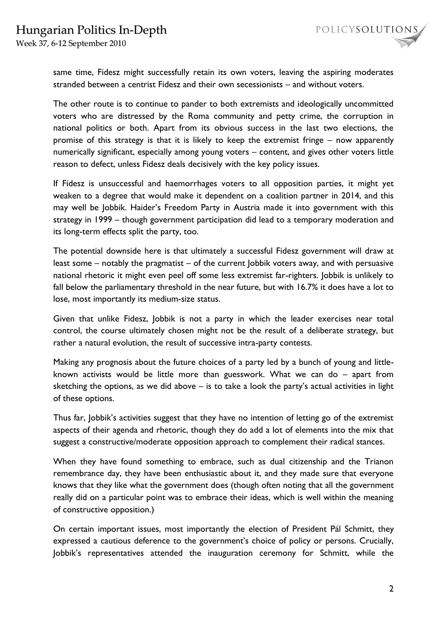Week 37, 6-12 September 2010

same time, Fidesz might successfully retain its own voters, leaving the aspiring moderates stranded between a centrist Fidesz and their own secessionists – and without voters.

The other route is to continue to pander to both extremists and ideologically uncommitted voters who are distressed by the Roma community and petty crime, the corruption in national politics or both. Apart from its obvious success in the last two elections, the promise of this strategy is that it is likely to keep the extremist fringe – now apparently numerically significant, especially among young voters – content, and gives other voters little reason to defect, unless Fidesz deals decisively with the key policy issues.

If Fidesz is unsuccessful and haemorrhages voters to all opposition parties, it might yet weaken to a degree that would make it dependent on a coalition partner in 2014, and this may well be Jobbik. Haider's Freedom Party in Austria made it into government with this strategy in 1999 – though government participation did lead to a temporary moderation and its long-term effects split the party, too.

The potential downside here is that ultimately a successful Fidesz government will draw at least some – notably the pragmatist – of the current Jobbik voters away, and with persuasive national rhetoric it might even peel off some less extremist far-righters. Jobbik is unlikely to fall below the parliamentary threshold in the near future, but with 16.7% it does have a lot to lose, most importantly its medium-size status.

Given that unlike Fidesz, Jobbik is not a party in which the leader exercises near total control, the course ultimately chosen might not be the result of a deliberate strategy, but rather a natural evolution, the result of successive intra-party contests.

Making any prognosis about the future choices of a party led by a bunch of young and littleknown activists would be little more than guesswork. What we can do – apart from sketching the options, as we did above – is to take a look the party's actual activities in light of these options.

Thus far, Jobbik's activities suggest that they have no intention of letting go of the extremist aspects of their agenda and rhetoric, though they do add a lot of elements into the mix that suggest a constructive/moderate opposition approach to complement their radical stances.

When they have found something to embrace, such as dual citizenship and the Trianon remembrance day, they have been enthusiastic about it, and they made sure that everyone knows that they like what the government does (though often noting that all the government really did on a particular point was to embrace their ideas, which is well within the meaning of constructive opposition.)

On certain important issues, most importantly the election of President Pál Schmitt, they expressed a cautious deference to the government's choice of policy or persons. Crucially, Jobbik's representatives attended the inauguration ceremony for Schmitt, while the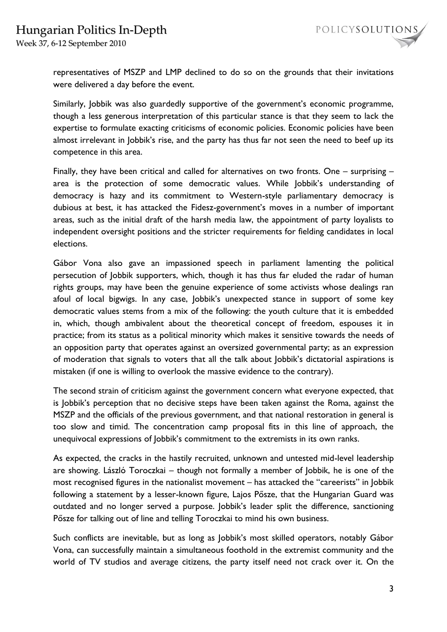Week 37, 6-12 September 2010



representatives of MSZP and LMP declined to do so on the grounds that their invitations were delivered a day before the event.

Similarly, Jobbik was also guardedly supportive of the government's economic programme, though a less generous interpretation of this particular stance is that they seem to lack the expertise to formulate exacting criticisms of economic policies. Economic policies have been almost irrelevant in Jobbik's rise, and the party has thus far not seen the need to beef up its competence in this area.

Finally, they have been critical and called for alternatives on two fronts. One – surprising – area is the protection of some democratic values. While Jobbik's understanding of democracy is hazy and its commitment to Western-style parliamentary democracy is dubious at best, it has attacked the Fidesz-government's moves in a number of important areas, such as the initial draft of the harsh media law, the appointment of party loyalists to independent oversight positions and the stricter requirements for fielding candidates in local elections.

Gábor Vona also gave an impassioned speech in parliament lamenting the political persecution of Jobbik supporters, which, though it has thus far eluded the radar of human rights groups, may have been the genuine experience of some activists whose dealings ran afoul of local bigwigs. In any case, Jobbik's unexpected stance in support of some key democratic values stems from a mix of the following: the youth culture that it is embedded in, which, though ambivalent about the theoretical concept of freedom, espouses it in practice; from its status as a political minority which makes it sensitive towards the needs of an opposition party that operates against an oversized governmental party; as an expression of moderation that signals to voters that all the talk about Jobbik's dictatorial aspirations is mistaken (if one is willing to overlook the massive evidence to the contrary).

The second strain of criticism against the government concern what everyone expected, that is Jobbik's perception that no decisive steps have been taken against the Roma, against the MSZP and the officials of the previous government, and that national restoration in general is too slow and timid. The concentration camp proposal fits in this line of approach, the unequivocal expressions of Jobbik's commitment to the extremists in its own ranks.

As expected, the cracks in the hastily recruited, unknown and untested mid-level leadership are showing. László Toroczkai – though not formally a member of Jobbik, he is one of the most recognised figures in the nationalist movement – has attacked the "careerists" in Jobbik following a statement by a lesser-known figure, Lajos Pősze, that the Hungarian Guard was outdated and no longer served a purpose. Jobbik's leader split the difference, sanctioning Pősze for talking out of line and telling Toroczkai to mind his own business.

Such conflicts are inevitable, but as long as Jobbik's most skilled operators, notably Gábor Vona, can successfully maintain a simultaneous foothold in the extremist community and the world of TV studios and average citizens, the party itself need not crack over it. On the